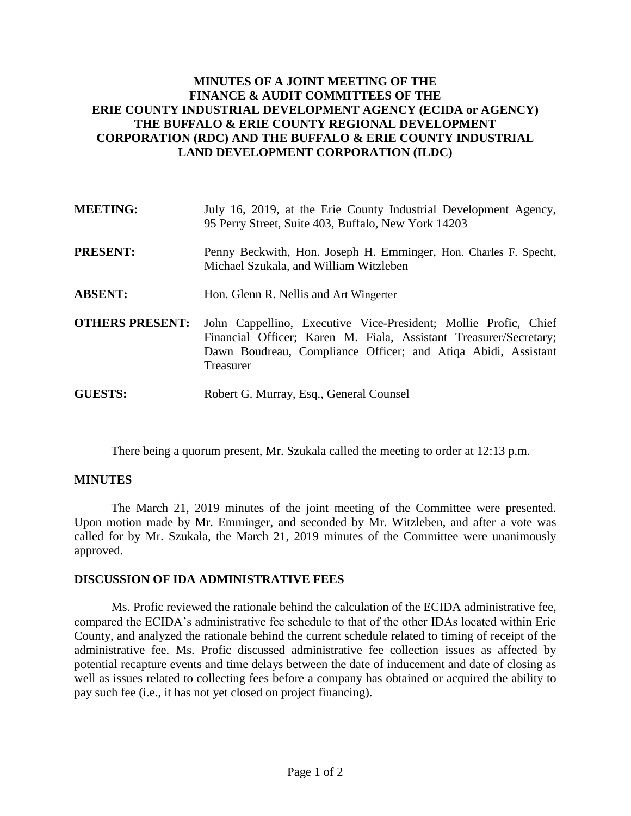## **MINUTES OF A JOINT MEETING OF THE FINANCE & AUDIT COMMITTEES OF THE ERIE COUNTY INDUSTRIAL DEVELOPMENT AGENCY (ECIDA or AGENCY) THE BUFFALO & ERIE COUNTY REGIONAL DEVELOPMENT CORPORATION (RDC) AND THE BUFFALO & ERIE COUNTY INDUSTRIAL LAND DEVELOPMENT CORPORATION (ILDC)**

| <b>MEETING:</b>        | July 16, 2019, at the Erie County Industrial Development Agency,<br>95 Perry Street, Suite 403, Buffalo, New York 14203                                                                                            |
|------------------------|--------------------------------------------------------------------------------------------------------------------------------------------------------------------------------------------------------------------|
| <b>PRESENT:</b>        | Penny Beckwith, Hon. Joseph H. Emminger, Hon. Charles F. Specht,<br>Michael Szukala, and William Witzleben                                                                                                         |
| <b>ABSENT:</b>         | Hon. Glenn R. Nellis and Art Wingerter                                                                                                                                                                             |
| <b>OTHERS PRESENT:</b> | John Cappellino, Executive Vice-President; Mollie Profic, Chief<br>Financial Officer; Karen M. Fiala, Assistant Treasurer/Secretary;<br>Dawn Boudreau, Compliance Officer; and Atiqa Abidi, Assistant<br>Treasurer |
| <b>GUESTS:</b>         | Robert G. Murray, Esq., General Counsel                                                                                                                                                                            |

There being a quorum present, Mr. Szukala called the meeting to order at 12:13 p.m.

## **MINUTES**

The March 21, 2019 minutes of the joint meeting of the Committee were presented. Upon motion made by Mr. Emminger, and seconded by Mr. Witzleben, and after a vote was called for by Mr. Szukala, the March 21, 2019 minutes of the Committee were unanimously approved.

## **DISCUSSION OF IDA ADMINISTRATIVE FEES**

Ms. Profic reviewed the rationale behind the calculation of the ECIDA administrative fee, compared the ECIDA's administrative fee schedule to that of the other IDAs located within Erie County, and analyzed the rationale behind the current schedule related to timing of receipt of the administrative fee. Ms. Profic discussed administrative fee collection issues as affected by potential recapture events and time delays between the date of inducement and date of closing as well as issues related to collecting fees before a company has obtained or acquired the ability to pay such fee (i.e., it has not yet closed on project financing).